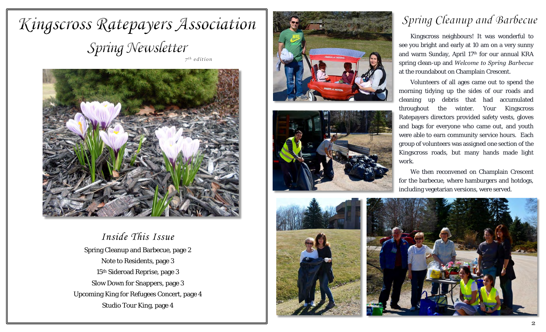# Kingscross Ratepayers Association Spring Newsletter





*Inside This Issue* Spring Cleanup and Barbecue, page 2 Note to Residents, page 3 15<sup>th</sup> Sideroad Reprise, page 3 Slow Down for Snappers, page 3 Upcoming King for Refugees Concert, page 4 Studio Tour King, page 4







# Spring Cleanup and Barbecue

Kingscross neighbours! It was wonderful to see you bright and early at 10 am on a very sunny and warm Sunday, April 17th for our annual KRA spring clean-up and *Welcome to Spring Barbecue* at the roundabout on Champlain Crescent.

Volunteers of all ages came out to spend the morning tidying up the sides of our roads and cleaning up debris that had accumulated throughout the winter. Your Kingscross Ratepayers directors provided safety vests, gloves and bags for everyone who came out, and youth were able to earn community service hours. Each group of volunteers was assigned one section of the Kingscross roads, but many hands made light work.

We then reconvened on Champlain Crescent for the barbecue, where hamburgers and hotdogs, including vegetarian versions, were served.